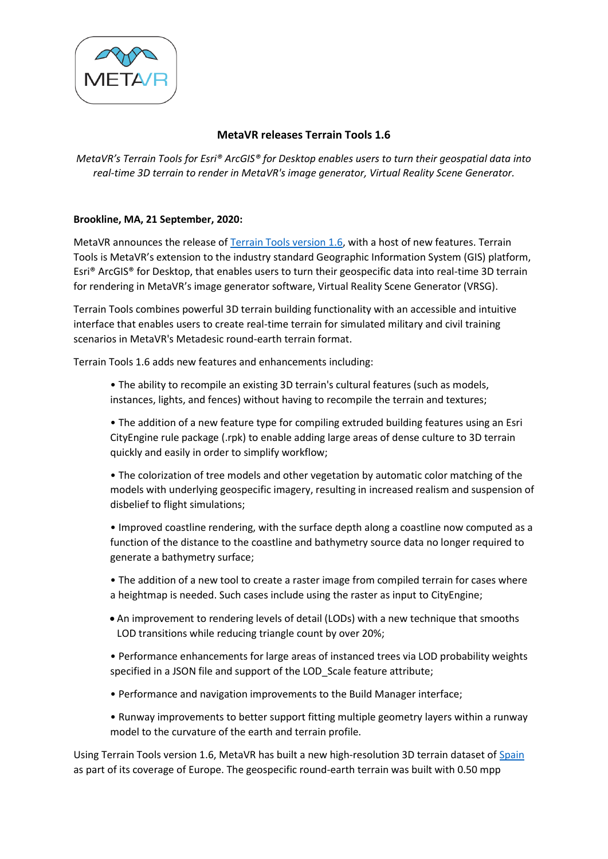

## **MetaVR releases Terrain Tools 1.6**

*MetaVR's Terrain Tools for Esri® ArcGIS® for Desktop enables users to turn their geospatial data into real-time 3D terrain to render in MetaVR's image generator, Virtual Reality Scene Generator.*

## **Brookline, MA, 21 September, 2020:**

MetaVR announces the release o[f Terrain Tools version 1.6,](https://www.metavr.com/terraintools/terraintools-new-version.html) with a host of new features. Terrain Tools is MetaVR's extension to the industry standard Geographic Information System (GIS) platform, Esri® ArcGIS® for Desktop, that enables users to turn their geospecific data into real-time 3D terrain for rendering in MetaVR's image generator software, Virtual Reality Scene Generator (VRSG).

Terrain Tools combines powerful 3D terrain building functionality with an accessible and intuitive interface that enables users to create real-time terrain for simulated military and civil training scenarios in MetaVR's Metadesic round-earth terrain format.

Terrain Tools 1.6 adds new features and enhancements including:

• The ability to recompile an existing 3D terrain's cultural features (such as models, instances, lights, and fences) without having to recompile the terrain and textures;

• The addition of a new feature type for compiling extruded building features using an Esri CityEngine rule package (.rpk) to enable adding large areas of dense culture to 3D terrain quickly and easily in order to simplify workflow;

• The colorization of tree models and other vegetation by automatic color matching of the models with underlying geospecific imagery, resulting in increased realism and suspension of disbelief to flight simulations;

• Improved coastline rendering, with the surface depth along a coastline now computed as a function of the distance to the coastline and bathymetry source data no longer required to generate a bathymetry surface;

• The addition of a new tool to create a raster image from compiled terrain for cases where a heightmap is needed. Such cases include using the raster as input to CityEngine;

• An improvement to rendering levels of detail (LODs) with a new technique that smooths LOD transitions while reducing triangle count by over 20%;

• Performance enhancements for large areas of instanced trees via LOD probability weights specified in a JSON file and support of the LOD\_Scale feature attribute;

- Performance and navigation improvements to the Build Manager interface;
- Runway improvements to better support fitting multiple geometry layers within a runway model to the curvature of the earth and terrain profile.

Using Terrain Tools version 1.6, MetaVR has built a new high-resolution 3D terrain dataset of [Spain](https://www.metavr.com/products/terrain/europe/Spain.html) as part of its coverage of Europe. The geospecific round-earth terrain was built with 0.50 mpp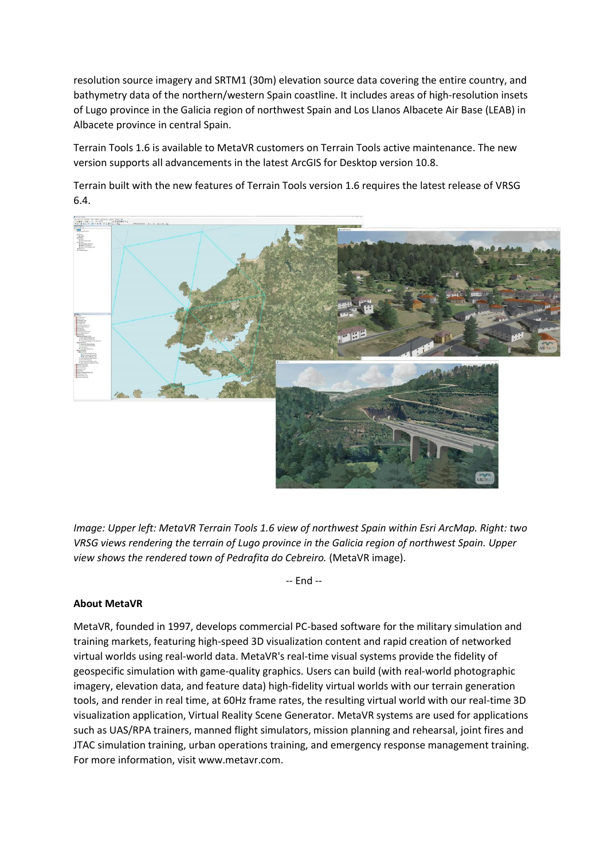resolution source imagery and SRTM1 (30m) elevation source data covering the entire country, and bathymetry data of the northern/western Spain coastline. It includes areas of high-resolution insets of Lugo province in the Galicia region of northwest Spain and Los Llanos Albacete Air Base (LEAB) in Albacete province in central Spain.

Terrain Tools 1.6 is available to MetaVR customers on Terrain Tools active maintenance. The new version supports all advancements in the latest ArcGIS for Desktop version 10.8.

Terrain built with the new features of Terrain Tools version 1.6 requires the latest release of VRSG 6.4.



*Image: Upper left: MetaVR Terrain Tools 1.6 view of northwest Spain within Esri ArcMap. Right: two VRSG views rendering the terrain of Lugo province in the Galicia region of northwest Spain. Upper view shows the rendered town of Pedrafita do Cebreiro.* (MetaVR image).

-- End --

## **About MetaVR**

MetaVR, founded in 1997, develops commercial PC-based software for the military simulation and training markets, featuring high-speed 3D visualization content and rapid creation of networked virtual worlds using real-world data. MetaVR's real-time visual systems provide the fidelity of geospecific simulation with game-quality graphics. Users can build (with real-world photographic imagery, elevation data, and feature data) high-fidelity virtual worlds with our terrain generation tools, and render in real time, at 60Hz frame rates, the resulting virtual world with our real-time 3D visualization application, Virtual Reality Scene Generator. MetaVR systems are used for applications such as UAS/RPA trainers, manned flight simulators, mission planning and rehearsal, joint fires and JTAC simulation training, urban operations training, and emergency response management training. For more information, visit www.metavr.com.